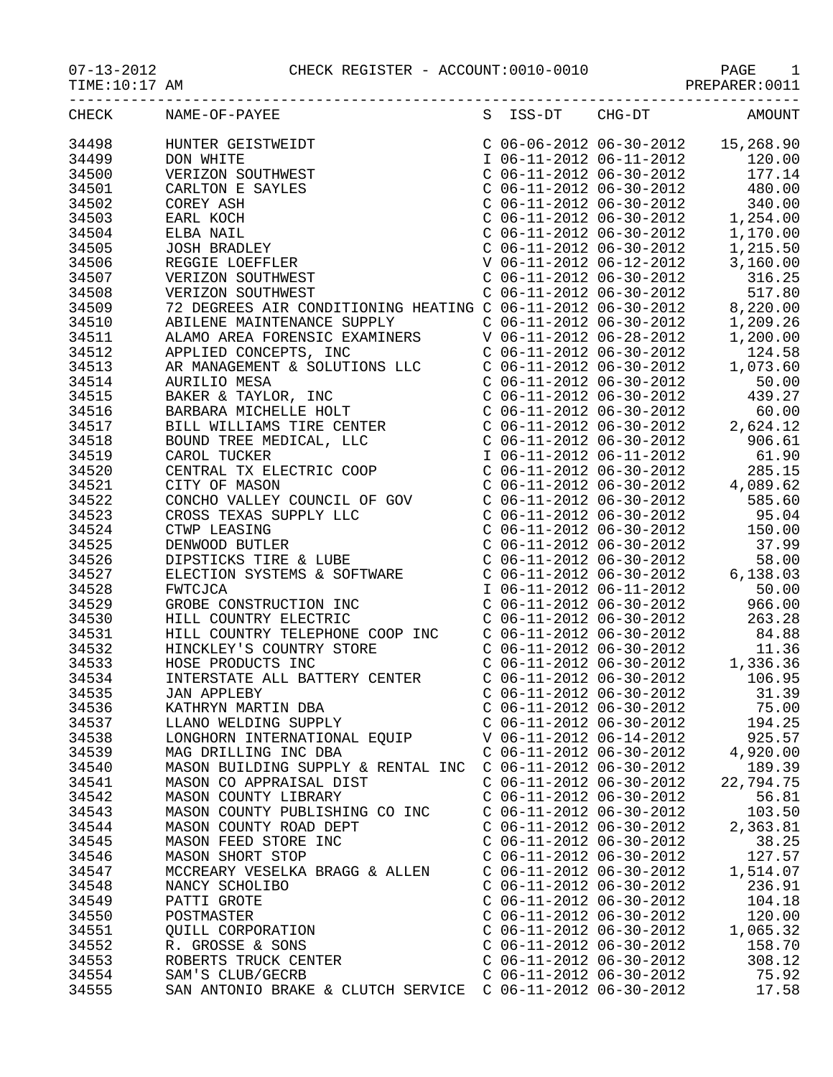|                | 07-13-2012 CHECK REGISTER - ACCOUNT:0010-0010 PAGE 1<br>TIME:10:17 AM PREPARER:0011                                                  |                                                        |                        |
|----------------|--------------------------------------------------------------------------------------------------------------------------------------|--------------------------------------------------------|------------------------|
| CHECK          | NAME-OF-PAYEE                                                                                                                        |                                                        | S ISS-DT CHG-DT AMOUNT |
| 34498<br>34499 |                                                                                                                                      |                                                        |                        |
| 34499          |                                                                                                                                      |                                                        |                        |
| 34500          |                                                                                                                                      |                                                        |                        |
| 34501          |                                                                                                                                      |                                                        |                        |
| 34502          |                                                                                                                                      |                                                        |                        |
| 34503          |                                                                                                                                      |                                                        |                        |
| 34504          |                                                                                                                                      |                                                        |                        |
| 34505          |                                                                                                                                      |                                                        |                        |
| 34506          |                                                                                                                                      |                                                        |                        |
| 34507          |                                                                                                                                      |                                                        |                        |
| 34508          |                                                                                                                                      |                                                        |                        |
| 34509          |                                                                                                                                      |                                                        |                        |
| 34510          |                                                                                                                                      |                                                        |                        |
| 34511          |                                                                                                                                      |                                                        |                        |
| 34512          |                                                                                                                                      |                                                        |                        |
| 34513          |                                                                                                                                      |                                                        |                        |
| 34514          |                                                                                                                                      |                                                        |                        |
| 34515          |                                                                                                                                      |                                                        |                        |
| 34516          |                                                                                                                                      |                                                        |                        |
| 34517          |                                                                                                                                      |                                                        |                        |
| 34518          |                                                                                                                                      |                                                        |                        |
| 34519          |                                                                                                                                      |                                                        |                        |
| 34520          |                                                                                                                                      |                                                        |                        |
| 34521          |                                                                                                                                      |                                                        |                        |
| 34522          |                                                                                                                                      |                                                        |                        |
| 34523          |                                                                                                                                      |                                                        |                        |
| 34524          |                                                                                                                                      |                                                        |                        |
| 34525          |                                                                                                                                      |                                                        |                        |
| 34526          |                                                                                                                                      |                                                        |                        |
| 34527          |                                                                                                                                      |                                                        |                        |
| 34528          |                                                                                                                                      |                                                        |                        |
| 34529          |                                                                                                                                      |                                                        |                        |
| 34530          |                                                                                                                                      |                                                        |                        |
| 34531          |                                                                                                                                      |                                                        |                        |
| 34532          |                                                                                                                                      |                                                        |                        |
| 34533          |                                                                                                                                      |                                                        |                        |
| 34534          | INTERSTATE ALL BATTERY CENTER<br><b>JAN APPLEBY</b>                                                                                  | $C$ 06-11-2012 06-30-2012<br>$C$ 06-11-2012 06-30-2012 | 106.95                 |
| 34535<br>34536 | KATHRYN MARTIN DBA                                                                                                                   | $C$ 06-11-2012 06-30-2012                              | 31.39<br>75.00         |
| 34537          | LLANO WELDING SUPPLY                                                                                                                 | $C$ 06-11-2012 06-30-2012                              | 194.25                 |
| 34538          | LONGHORN INTERNATIONAL EQUIP                                                                                                         | V 06-11-2012 06-14-2012                                | 925.57                 |
| 34539          | MAG DRILLING INC DBA                                                                                                                 | $C$ 06-11-2012 06-30-2012                              | 4,920.00               |
| 34540          | MASON BUILDING SUPPLY & RENTAL INC                                                                                                   | C 06-11-2012 06-30-2012                                | 189.39                 |
| 34541          | MASON CO APPRAISAL DIST                                                                                                              | $C$ 06-11-2012 06-30-2012                              | 22,794.75              |
| 34542          | MASON COUNTY LIBRARY                                                                                                                 | $C$ 06-11-2012 06-30-2012                              | 56.81                  |
| 34543          | MASON COUNTY PUBLISHING CO INC                                                                                                       | $C$ 06-11-2012 06-30-2012                              | 103.50                 |
| 34544          | MASON COUNTY ROAD DEPT                                                                                                               | $C$ 06-11-2012 06-30-2012                              | 2,363.81               |
| 34545          | MASON FEED STORE INC                                                                                                                 | $C$ 06-11-2012 06-30-2012                              | 38.25                  |
| 34546          | MASON SHORT STOP                                                                                                                     | $C$ 06-11-2012 06-30-2012                              | 127.57                 |
| 34547          | MCCREARY VESELKA BRAGG & ALLEN                                                                                                       | $C$ 06-11-2012 06-30-2012                              | 1,514.07               |
| 34548          |                                                                                                                                      | $C$ 06-11-2012 06-30-2012                              | 236.91                 |
| 34549          |                                                                                                                                      | $C$ 06-11-2012 06-30-2012                              | 104.18                 |
| 34550          |                                                                                                                                      | $C$ 06-11-2012 06-30-2012                              | 120.00                 |
| 34551          |                                                                                                                                      | $C$ 06-11-2012 06-30-2012                              | 1,065.32               |
| 34552          |                                                                                                                                      | $C$ 06-11-2012 06-30-2012                              | 158.70                 |
| 34553          | NANCY SCHOLIBO<br>PATTI GROTE<br>POSTMASTER<br>QUILL CORPORATION<br>R. GROSSE & SONS<br>ROBERTS TRUCK CENTER<br>CORERTS TRUCK CENTER | $C$ 06-11-2012 06-30-2012                              | 308.12                 |
| 34554          |                                                                                                                                      | $C$ 06-11-2012 06-30-2012                              | 75.92                  |
| 34555          | SAN ANTONIO BRAKE & CLUTCH SERVICE $\,$ C 06-11-2012 06-30-2012                                                                      |                                                        | 17.58                  |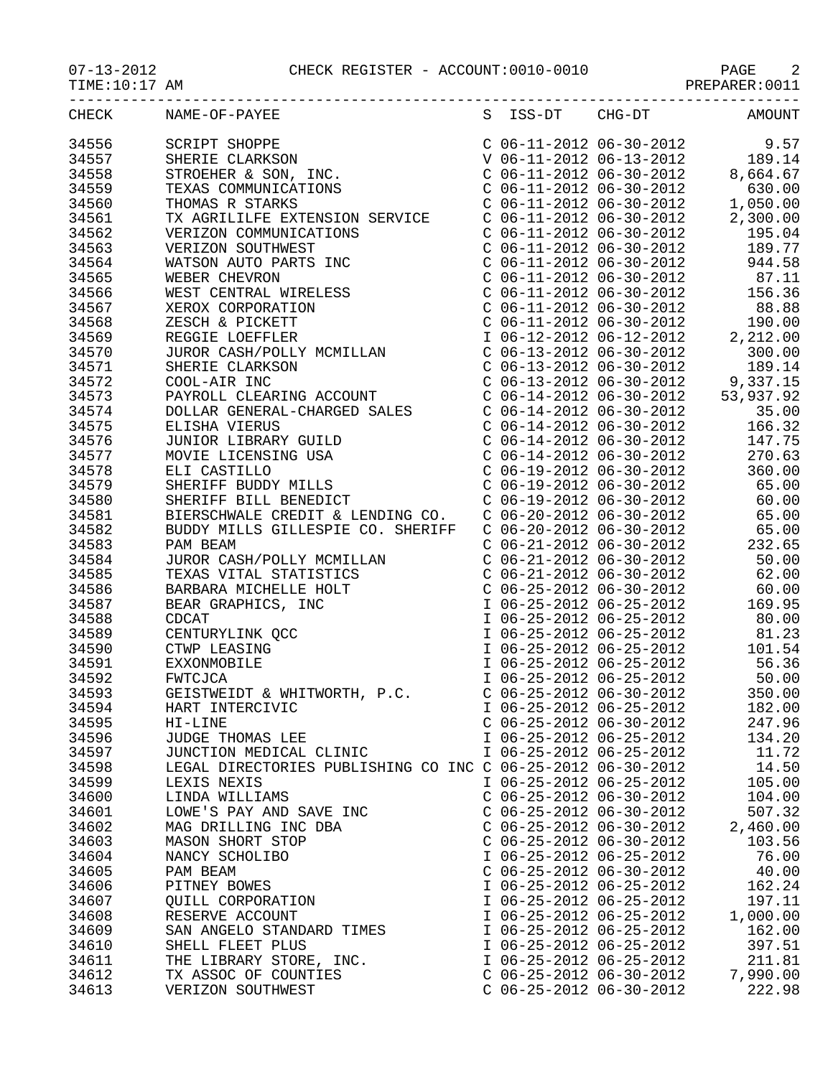07-13-2012 CHECK REGISTER - ACCOUNT:0010-0010 PAGE 2

TIME:10:17 AM PREPARER:0011

|            |                                     |           |   |    | ------------------------  | . <u>.</u>     |
|------------|-------------------------------------|-----------|---|----|---------------------------|----------------|
| $\cap$ HE( | NAME.<br>הדר<br>-<br>ີ<br>. .<br>__ | ᅐᅎ<br>ת ר | ້ | nп | $\neg$<br>.<br>----<br>__ | . MK<br>$\sim$ |

| NAME-OF-PAYEE<br>SCRIPT SHOPPE<br>SHERIE CLARKSON<br>STROEHER & SON, INC.<br>TEXAS COMMUNICATIONS<br>THOMAS R STARKS<br>$\begin{array}{cccc} \text{C} & 06-11-2012 & 06-30-2012 & 9.57 \\ \text{V} & 06-11-2012 & 06-13-2012 & 189.14 \\ \text{C} & 06-11-2012 & 06-30-2012 & 8,664.67 \end{array}$<br>34556<br>34557<br>34558<br>$C$ 06-11-2012 06-30-2012<br>34559<br>630.00<br>$C$ 06-11-2012 06-30-2012<br>34560<br>1,050.00<br>TX AGRILILFE EXTENSION SERVICE<br>34561<br>$\begin{array}{lll} \text{C} & 06-11-2012 & 06-30-2012 & \text{2} \\ \text{C} & 06-11-2012 & 06-30-2012 & \text{C} & 06-11-2012 & 06-30-2012 & \end{array}$<br>2,300.00<br>34562<br>195.04<br>TX AGRILILFE EXTENSION SERVICE<br>VERIZON COMMUNICATIONS<br>VERIZON SOUTHWEST<br>WATSON AUTO PARTS INC<br>WEBER CHEVRON<br>WEST CENTRAL WIRELESS<br>XEROX CORPORATION<br>ZESCH & PICKETT<br>REGGIE LOEFFLER<br>JUROR CASH/POLLY MCMILLAN<br>SHERIE CLARKSON<br><br>34563<br>189.77<br>$C$ 06-11-2012 06-30-2012<br>34564<br>944.58<br>$C$ 06-11-2012 06-30-2012 87.11<br>34565<br>34566<br>$C$ 06-11-2012 06-30-2012<br>156.36<br>34567<br>$\begin{array}{llllll} \mbox{C} & 06\mbox{-}11\mbox{-}2012 & 06\mbox{-}30\mbox{-}2012 & & 88.88 \\ \mbox{C} & 06\mbox{-}11\mbox{-}2012 & 06\mbox{-}30\mbox{-}2012 & & 190.00 \\ \mbox{I} & 06\mbox{-}12\mbox{-}2012 & 06\mbox{-}12\mbox{-}2012 & & 2,212.00 \end{array}$<br>34568<br>34569<br>$C$ 06-13-2012 06-30-2012<br>34570<br>300.00<br>C 06-13-2012 06-30-2012 189.14<br>C 06-13-2012 06-30-2012 9,337.15<br>C 06-14-2012 06-30-2012 53,937.92<br>C 06-14-2012 06-30-2012 35.00<br>34571<br>34572<br>34573<br>34574<br>$C$ 06-14-2012 06-30-2012<br>34575<br>166.32<br>ELISHA VIERUS<br>JUNIOR LIBRARY GUILD<br>MOVIE LICENSING USA<br>ELI CASTILLO<br>SHERIFF BUDDY MILLS<br>SHERIFF BILL BENEDICT<br>$C$ 06-14-2012 06-30-2012<br>34576<br>147.75<br>34577<br>$C$ 06-14-2012 06-30-2012<br>270.63<br>34578<br>C 06-19-2012 06-30-2012<br>C 06-19-2012 06-30-2012<br>C 06-19-2012 06-30-2012<br>3bu.<br>65.00<br>00 ^<br>34579<br>60.00<br>34580<br>$C$ 06-20-2012 06-30-2012 65.00<br>BIERSCHWALE CREDIT & LENDING CO.<br>34581<br>34582<br>BUDDY MILLS GILLESPIE CO. SHERIFF<br>$C$ 06-20-2012 06-30-2012 65.00<br>232.65<br>34583<br>$C$ 06-21-2012 06-30-2012<br>PAM BEAM<br>JUROR CASH/POLLY MCMILLAN<br>TEXAS VITAL STATISTICS<br>BARBARA MICHELLE HOLT<br>BEAR GRAPHICS, INC<br>CDCAT<br>CENTURYLINK QCC<br>CTWP LEASING<br>EXXONMOBILE<br>FWTCJCA<br>GEISTWEIDT & WHITMORTHILL<br>34584<br>C 06-21-2012 06-30-2012<br>C 06-21-2012 06-30-2012<br>50.00<br>34585<br>62.00<br>$C$ 06-25-2012 06-30-2012 60.00<br>34586<br>I 06-25-2012 06-25-2012<br>34587<br>169.95<br>34588<br>80.00<br>I 06-25-2012 06-25-2012<br>34589<br>I 06-25-2012 06-25-2012<br>I 06-25-2012 06-25-2012<br>81.23<br>101.54<br>34590<br>$106-25-201206-25-2012$<br>56.36<br>34591<br>I 06-25-2012 06-25-2012 50.00<br>34592<br>GEISTWEIDT & WHITWORTH, P.C.<br>34593<br>$C$ 06-25-2012 06-30-2012<br>350.00<br>34594<br>I 06-25-2012 06-25-2012<br>182.00<br>HART INTERCIVIC<br>34595<br>$C$ 06-25-2012 06-30-2012<br>247.96<br>HI-LINE<br>34596<br>I 06-25-2012 06-25-2012<br>134.20<br>JUDGE THOMAS LEE<br>34597<br>I 06-25-2012 06-25-2012<br>11.72<br>JUNCTION MEDICAL CLINIC<br>34598<br>LEGAL DIRECTORIES PUBLISHING CO INC C 06-25-2012 06-30-2012<br>14.50<br>34599<br>I 06-25-2012 06-25-2012<br>105.00<br>LEXIS NEXIS<br>34600<br>$C$ 06-25-2012 06-30-2012<br>104.00<br>LINDA WILLIAMS<br>507.32<br>34601<br>$C$ 06-25-2012 06-30-2012<br>LOWE'S PAY AND SAVE INC<br>34602<br>$C$ 06-25-2012 06-30-2012<br>2,460.00<br>MAG DRILLING INC DBA<br>34603<br>MASON SHORT STOP<br>$C$ 06-25-2012 06-30-2012<br>103.56<br>34604<br>I 06-25-2012 06-25-2012<br>76.00<br>NANCY SCHOLIBO<br>34605<br>$C$ 06-25-2012 06-30-2012<br>40.00<br>PAM BEAM<br>162.24<br>34606<br>PITNEY BOWES<br>I 06-25-2012 06-25-2012<br>197.11<br>34607<br>I 06-25-2012 06-25-2012<br>QUILL CORPORATION<br>34608<br>I 06-25-2012 06-25-2012<br>1,000.00<br>RESERVE ACCOUNT<br>34609<br>I 06-25-2012 06-25-2012<br>162.00<br>SAN ANGELO STANDARD TIMES<br>34610<br>I 06-25-2012 06-25-2012<br>397.51<br>SHELL FLEET PLUS<br>34611<br>I 06-25-2012 06-25-2012<br>211.81<br>THE LIBRARY STORE, INC.<br>34612<br>$C$ 06-25-2012 06-30-2012<br>7,990.00<br>TX ASSOC OF COUNTIES<br>34613<br>$C$ 06-25-2012 06-30-2012<br>222.98<br>VERIZON SOUTHWEST | CHECK | S | ISS-DT | $CHG-DT$ | <b>AMOUNT</b> |
|---------------------------------------------------------------------------------------------------------------------------------------------------------------------------------------------------------------------------------------------------------------------------------------------------------------------------------------------------------------------------------------------------------------------------------------------------------------------------------------------------------------------------------------------------------------------------------------------------------------------------------------------------------------------------------------------------------------------------------------------------------------------------------------------------------------------------------------------------------------------------------------------------------------------------------------------------------------------------------------------------------------------------------------------------------------------------------------------------------------------------------------------------------------------------------------------------------------------------------------------------------------------------------------------------------------------------------------------------------------------------------------------------------------------------------------------------------------------------------------------------------------------------------------------------------------------------------------------------------------------------------------------------------------------------------------------------------------------------------------------------------------------------------------------------------------------------------------------------------------------------------------------------------------------------------------------------------------------------------------------------------------------------------------------------------------------------------------------------------------------------------------------------------------------------------------------------------------------------------------------------------------------------------------------------------------------------------------------------------------------------------------------------------------------------------------------------------------------------------------------------------------------------------------------------------------------------------------------------------------------------------------------------------------------------------------------------------------------------------------------------------------------------------------------------------------------------------------------------------------------------------------------------------------------------------------------------------------------------------------------------------------------------------------------------------------------------------------------------------------------------------------------------------------------------------------------------------------------------------------------------------------------------------------------------------------------------------------------------------------------------------------------------------------------------------------------------------------------------------------------------------------------------------------------------------------------------------------------------------------------------------------------------------------------------------------------------------------------------------------------------------------------------------------------------------------------------------------------------------------------------------------------------------------------------------------------------------------------------------------------------------------------------------------------------------------------------------------------------------------------------------------------------------------------------------------------------------------------------------------------------------------------------------------------------------------------------------------------------------------------------------------------------------------------------------------------|-------|---|--------|----------|---------------|
|                                                                                                                                                                                                                                                                                                                                                                                                                                                                                                                                                                                                                                                                                                                                                                                                                                                                                                                                                                                                                                                                                                                                                                                                                                                                                                                                                                                                                                                                                                                                                                                                                                                                                                                                                                                                                                                                                                                                                                                                                                                                                                                                                                                                                                                                                                                                                                                                                                                                                                                                                                                                                                                                                                                                                                                                                                                                                                                                                                                                                                                                                                                                                                                                                                                                                                                                                                                                                                                                                                                                                                                                                                                                                                                                                                                                                                                                                                                                                                                                                                                                                                                                                                                                                                                                                                                                                                                                                                             |       |   |        |          |               |
|                                                                                                                                                                                                                                                                                                                                                                                                                                                                                                                                                                                                                                                                                                                                                                                                                                                                                                                                                                                                                                                                                                                                                                                                                                                                                                                                                                                                                                                                                                                                                                                                                                                                                                                                                                                                                                                                                                                                                                                                                                                                                                                                                                                                                                                                                                                                                                                                                                                                                                                                                                                                                                                                                                                                                                                                                                                                                                                                                                                                                                                                                                                                                                                                                                                                                                                                                                                                                                                                                                                                                                                                                                                                                                                                                                                                                                                                                                                                                                                                                                                                                                                                                                                                                                                                                                                                                                                                                                             |       |   |        |          |               |
|                                                                                                                                                                                                                                                                                                                                                                                                                                                                                                                                                                                                                                                                                                                                                                                                                                                                                                                                                                                                                                                                                                                                                                                                                                                                                                                                                                                                                                                                                                                                                                                                                                                                                                                                                                                                                                                                                                                                                                                                                                                                                                                                                                                                                                                                                                                                                                                                                                                                                                                                                                                                                                                                                                                                                                                                                                                                                                                                                                                                                                                                                                                                                                                                                                                                                                                                                                                                                                                                                                                                                                                                                                                                                                                                                                                                                                                                                                                                                                                                                                                                                                                                                                                                                                                                                                                                                                                                                                             |       |   |        |          |               |
|                                                                                                                                                                                                                                                                                                                                                                                                                                                                                                                                                                                                                                                                                                                                                                                                                                                                                                                                                                                                                                                                                                                                                                                                                                                                                                                                                                                                                                                                                                                                                                                                                                                                                                                                                                                                                                                                                                                                                                                                                                                                                                                                                                                                                                                                                                                                                                                                                                                                                                                                                                                                                                                                                                                                                                                                                                                                                                                                                                                                                                                                                                                                                                                                                                                                                                                                                                                                                                                                                                                                                                                                                                                                                                                                                                                                                                                                                                                                                                                                                                                                                                                                                                                                                                                                                                                                                                                                                                             |       |   |        |          |               |
|                                                                                                                                                                                                                                                                                                                                                                                                                                                                                                                                                                                                                                                                                                                                                                                                                                                                                                                                                                                                                                                                                                                                                                                                                                                                                                                                                                                                                                                                                                                                                                                                                                                                                                                                                                                                                                                                                                                                                                                                                                                                                                                                                                                                                                                                                                                                                                                                                                                                                                                                                                                                                                                                                                                                                                                                                                                                                                                                                                                                                                                                                                                                                                                                                                                                                                                                                                                                                                                                                                                                                                                                                                                                                                                                                                                                                                                                                                                                                                                                                                                                                                                                                                                                                                                                                                                                                                                                                                             |       |   |        |          |               |
|                                                                                                                                                                                                                                                                                                                                                                                                                                                                                                                                                                                                                                                                                                                                                                                                                                                                                                                                                                                                                                                                                                                                                                                                                                                                                                                                                                                                                                                                                                                                                                                                                                                                                                                                                                                                                                                                                                                                                                                                                                                                                                                                                                                                                                                                                                                                                                                                                                                                                                                                                                                                                                                                                                                                                                                                                                                                                                                                                                                                                                                                                                                                                                                                                                                                                                                                                                                                                                                                                                                                                                                                                                                                                                                                                                                                                                                                                                                                                                                                                                                                                                                                                                                                                                                                                                                                                                                                                                             |       |   |        |          |               |
|                                                                                                                                                                                                                                                                                                                                                                                                                                                                                                                                                                                                                                                                                                                                                                                                                                                                                                                                                                                                                                                                                                                                                                                                                                                                                                                                                                                                                                                                                                                                                                                                                                                                                                                                                                                                                                                                                                                                                                                                                                                                                                                                                                                                                                                                                                                                                                                                                                                                                                                                                                                                                                                                                                                                                                                                                                                                                                                                                                                                                                                                                                                                                                                                                                                                                                                                                                                                                                                                                                                                                                                                                                                                                                                                                                                                                                                                                                                                                                                                                                                                                                                                                                                                                                                                                                                                                                                                                                             |       |   |        |          |               |
|                                                                                                                                                                                                                                                                                                                                                                                                                                                                                                                                                                                                                                                                                                                                                                                                                                                                                                                                                                                                                                                                                                                                                                                                                                                                                                                                                                                                                                                                                                                                                                                                                                                                                                                                                                                                                                                                                                                                                                                                                                                                                                                                                                                                                                                                                                                                                                                                                                                                                                                                                                                                                                                                                                                                                                                                                                                                                                                                                                                                                                                                                                                                                                                                                                                                                                                                                                                                                                                                                                                                                                                                                                                                                                                                                                                                                                                                                                                                                                                                                                                                                                                                                                                                                                                                                                                                                                                                                                             |       |   |        |          |               |
|                                                                                                                                                                                                                                                                                                                                                                                                                                                                                                                                                                                                                                                                                                                                                                                                                                                                                                                                                                                                                                                                                                                                                                                                                                                                                                                                                                                                                                                                                                                                                                                                                                                                                                                                                                                                                                                                                                                                                                                                                                                                                                                                                                                                                                                                                                                                                                                                                                                                                                                                                                                                                                                                                                                                                                                                                                                                                                                                                                                                                                                                                                                                                                                                                                                                                                                                                                                                                                                                                                                                                                                                                                                                                                                                                                                                                                                                                                                                                                                                                                                                                                                                                                                                                                                                                                                                                                                                                                             |       |   |        |          |               |
|                                                                                                                                                                                                                                                                                                                                                                                                                                                                                                                                                                                                                                                                                                                                                                                                                                                                                                                                                                                                                                                                                                                                                                                                                                                                                                                                                                                                                                                                                                                                                                                                                                                                                                                                                                                                                                                                                                                                                                                                                                                                                                                                                                                                                                                                                                                                                                                                                                                                                                                                                                                                                                                                                                                                                                                                                                                                                                                                                                                                                                                                                                                                                                                                                                                                                                                                                                                                                                                                                                                                                                                                                                                                                                                                                                                                                                                                                                                                                                                                                                                                                                                                                                                                                                                                                                                                                                                                                                             |       |   |        |          |               |
|                                                                                                                                                                                                                                                                                                                                                                                                                                                                                                                                                                                                                                                                                                                                                                                                                                                                                                                                                                                                                                                                                                                                                                                                                                                                                                                                                                                                                                                                                                                                                                                                                                                                                                                                                                                                                                                                                                                                                                                                                                                                                                                                                                                                                                                                                                                                                                                                                                                                                                                                                                                                                                                                                                                                                                                                                                                                                                                                                                                                                                                                                                                                                                                                                                                                                                                                                                                                                                                                                                                                                                                                                                                                                                                                                                                                                                                                                                                                                                                                                                                                                                                                                                                                                                                                                                                                                                                                                                             |       |   |        |          |               |
|                                                                                                                                                                                                                                                                                                                                                                                                                                                                                                                                                                                                                                                                                                                                                                                                                                                                                                                                                                                                                                                                                                                                                                                                                                                                                                                                                                                                                                                                                                                                                                                                                                                                                                                                                                                                                                                                                                                                                                                                                                                                                                                                                                                                                                                                                                                                                                                                                                                                                                                                                                                                                                                                                                                                                                                                                                                                                                                                                                                                                                                                                                                                                                                                                                                                                                                                                                                                                                                                                                                                                                                                                                                                                                                                                                                                                                                                                                                                                                                                                                                                                                                                                                                                                                                                                                                                                                                                                                             |       |   |        |          |               |
|                                                                                                                                                                                                                                                                                                                                                                                                                                                                                                                                                                                                                                                                                                                                                                                                                                                                                                                                                                                                                                                                                                                                                                                                                                                                                                                                                                                                                                                                                                                                                                                                                                                                                                                                                                                                                                                                                                                                                                                                                                                                                                                                                                                                                                                                                                                                                                                                                                                                                                                                                                                                                                                                                                                                                                                                                                                                                                                                                                                                                                                                                                                                                                                                                                                                                                                                                                                                                                                                                                                                                                                                                                                                                                                                                                                                                                                                                                                                                                                                                                                                                                                                                                                                                                                                                                                                                                                                                                             |       |   |        |          |               |
|                                                                                                                                                                                                                                                                                                                                                                                                                                                                                                                                                                                                                                                                                                                                                                                                                                                                                                                                                                                                                                                                                                                                                                                                                                                                                                                                                                                                                                                                                                                                                                                                                                                                                                                                                                                                                                                                                                                                                                                                                                                                                                                                                                                                                                                                                                                                                                                                                                                                                                                                                                                                                                                                                                                                                                                                                                                                                                                                                                                                                                                                                                                                                                                                                                                                                                                                                                                                                                                                                                                                                                                                                                                                                                                                                                                                                                                                                                                                                                                                                                                                                                                                                                                                                                                                                                                                                                                                                                             |       |   |        |          |               |
|                                                                                                                                                                                                                                                                                                                                                                                                                                                                                                                                                                                                                                                                                                                                                                                                                                                                                                                                                                                                                                                                                                                                                                                                                                                                                                                                                                                                                                                                                                                                                                                                                                                                                                                                                                                                                                                                                                                                                                                                                                                                                                                                                                                                                                                                                                                                                                                                                                                                                                                                                                                                                                                                                                                                                                                                                                                                                                                                                                                                                                                                                                                                                                                                                                                                                                                                                                                                                                                                                                                                                                                                                                                                                                                                                                                                                                                                                                                                                                                                                                                                                                                                                                                                                                                                                                                                                                                                                                             |       |   |        |          |               |
|                                                                                                                                                                                                                                                                                                                                                                                                                                                                                                                                                                                                                                                                                                                                                                                                                                                                                                                                                                                                                                                                                                                                                                                                                                                                                                                                                                                                                                                                                                                                                                                                                                                                                                                                                                                                                                                                                                                                                                                                                                                                                                                                                                                                                                                                                                                                                                                                                                                                                                                                                                                                                                                                                                                                                                                                                                                                                                                                                                                                                                                                                                                                                                                                                                                                                                                                                                                                                                                                                                                                                                                                                                                                                                                                                                                                                                                                                                                                                                                                                                                                                                                                                                                                                                                                                                                                                                                                                                             |       |   |        |          |               |
|                                                                                                                                                                                                                                                                                                                                                                                                                                                                                                                                                                                                                                                                                                                                                                                                                                                                                                                                                                                                                                                                                                                                                                                                                                                                                                                                                                                                                                                                                                                                                                                                                                                                                                                                                                                                                                                                                                                                                                                                                                                                                                                                                                                                                                                                                                                                                                                                                                                                                                                                                                                                                                                                                                                                                                                                                                                                                                                                                                                                                                                                                                                                                                                                                                                                                                                                                                                                                                                                                                                                                                                                                                                                                                                                                                                                                                                                                                                                                                                                                                                                                                                                                                                                                                                                                                                                                                                                                                             |       |   |        |          |               |
|                                                                                                                                                                                                                                                                                                                                                                                                                                                                                                                                                                                                                                                                                                                                                                                                                                                                                                                                                                                                                                                                                                                                                                                                                                                                                                                                                                                                                                                                                                                                                                                                                                                                                                                                                                                                                                                                                                                                                                                                                                                                                                                                                                                                                                                                                                                                                                                                                                                                                                                                                                                                                                                                                                                                                                                                                                                                                                                                                                                                                                                                                                                                                                                                                                                                                                                                                                                                                                                                                                                                                                                                                                                                                                                                                                                                                                                                                                                                                                                                                                                                                                                                                                                                                                                                                                                                                                                                                                             |       |   |        |          |               |
|                                                                                                                                                                                                                                                                                                                                                                                                                                                                                                                                                                                                                                                                                                                                                                                                                                                                                                                                                                                                                                                                                                                                                                                                                                                                                                                                                                                                                                                                                                                                                                                                                                                                                                                                                                                                                                                                                                                                                                                                                                                                                                                                                                                                                                                                                                                                                                                                                                                                                                                                                                                                                                                                                                                                                                                                                                                                                                                                                                                                                                                                                                                                                                                                                                                                                                                                                                                                                                                                                                                                                                                                                                                                                                                                                                                                                                                                                                                                                                                                                                                                                                                                                                                                                                                                                                                                                                                                                                             |       |   |        |          |               |
|                                                                                                                                                                                                                                                                                                                                                                                                                                                                                                                                                                                                                                                                                                                                                                                                                                                                                                                                                                                                                                                                                                                                                                                                                                                                                                                                                                                                                                                                                                                                                                                                                                                                                                                                                                                                                                                                                                                                                                                                                                                                                                                                                                                                                                                                                                                                                                                                                                                                                                                                                                                                                                                                                                                                                                                                                                                                                                                                                                                                                                                                                                                                                                                                                                                                                                                                                                                                                                                                                                                                                                                                                                                                                                                                                                                                                                                                                                                                                                                                                                                                                                                                                                                                                                                                                                                                                                                                                                             |       |   |        |          |               |
|                                                                                                                                                                                                                                                                                                                                                                                                                                                                                                                                                                                                                                                                                                                                                                                                                                                                                                                                                                                                                                                                                                                                                                                                                                                                                                                                                                                                                                                                                                                                                                                                                                                                                                                                                                                                                                                                                                                                                                                                                                                                                                                                                                                                                                                                                                                                                                                                                                                                                                                                                                                                                                                                                                                                                                                                                                                                                                                                                                                                                                                                                                                                                                                                                                                                                                                                                                                                                                                                                                                                                                                                                                                                                                                                                                                                                                                                                                                                                                                                                                                                                                                                                                                                                                                                                                                                                                                                                                             |       |   |        |          |               |
|                                                                                                                                                                                                                                                                                                                                                                                                                                                                                                                                                                                                                                                                                                                                                                                                                                                                                                                                                                                                                                                                                                                                                                                                                                                                                                                                                                                                                                                                                                                                                                                                                                                                                                                                                                                                                                                                                                                                                                                                                                                                                                                                                                                                                                                                                                                                                                                                                                                                                                                                                                                                                                                                                                                                                                                                                                                                                                                                                                                                                                                                                                                                                                                                                                                                                                                                                                                                                                                                                                                                                                                                                                                                                                                                                                                                                                                                                                                                                                                                                                                                                                                                                                                                                                                                                                                                                                                                                                             |       |   |        |          |               |
|                                                                                                                                                                                                                                                                                                                                                                                                                                                                                                                                                                                                                                                                                                                                                                                                                                                                                                                                                                                                                                                                                                                                                                                                                                                                                                                                                                                                                                                                                                                                                                                                                                                                                                                                                                                                                                                                                                                                                                                                                                                                                                                                                                                                                                                                                                                                                                                                                                                                                                                                                                                                                                                                                                                                                                                                                                                                                                                                                                                                                                                                                                                                                                                                                                                                                                                                                                                                                                                                                                                                                                                                                                                                                                                                                                                                                                                                                                                                                                                                                                                                                                                                                                                                                                                                                                                                                                                                                                             |       |   |        |          |               |
|                                                                                                                                                                                                                                                                                                                                                                                                                                                                                                                                                                                                                                                                                                                                                                                                                                                                                                                                                                                                                                                                                                                                                                                                                                                                                                                                                                                                                                                                                                                                                                                                                                                                                                                                                                                                                                                                                                                                                                                                                                                                                                                                                                                                                                                                                                                                                                                                                                                                                                                                                                                                                                                                                                                                                                                                                                                                                                                                                                                                                                                                                                                                                                                                                                                                                                                                                                                                                                                                                                                                                                                                                                                                                                                                                                                                                                                                                                                                                                                                                                                                                                                                                                                                                                                                                                                                                                                                                                             |       |   |        |          |               |
|                                                                                                                                                                                                                                                                                                                                                                                                                                                                                                                                                                                                                                                                                                                                                                                                                                                                                                                                                                                                                                                                                                                                                                                                                                                                                                                                                                                                                                                                                                                                                                                                                                                                                                                                                                                                                                                                                                                                                                                                                                                                                                                                                                                                                                                                                                                                                                                                                                                                                                                                                                                                                                                                                                                                                                                                                                                                                                                                                                                                                                                                                                                                                                                                                                                                                                                                                                                                                                                                                                                                                                                                                                                                                                                                                                                                                                                                                                                                                                                                                                                                                                                                                                                                                                                                                                                                                                                                                                             |       |   |        |          |               |
|                                                                                                                                                                                                                                                                                                                                                                                                                                                                                                                                                                                                                                                                                                                                                                                                                                                                                                                                                                                                                                                                                                                                                                                                                                                                                                                                                                                                                                                                                                                                                                                                                                                                                                                                                                                                                                                                                                                                                                                                                                                                                                                                                                                                                                                                                                                                                                                                                                                                                                                                                                                                                                                                                                                                                                                                                                                                                                                                                                                                                                                                                                                                                                                                                                                                                                                                                                                                                                                                                                                                                                                                                                                                                                                                                                                                                                                                                                                                                                                                                                                                                                                                                                                                                                                                                                                                                                                                                                             |       |   |        |          |               |
|                                                                                                                                                                                                                                                                                                                                                                                                                                                                                                                                                                                                                                                                                                                                                                                                                                                                                                                                                                                                                                                                                                                                                                                                                                                                                                                                                                                                                                                                                                                                                                                                                                                                                                                                                                                                                                                                                                                                                                                                                                                                                                                                                                                                                                                                                                                                                                                                                                                                                                                                                                                                                                                                                                                                                                                                                                                                                                                                                                                                                                                                                                                                                                                                                                                                                                                                                                                                                                                                                                                                                                                                                                                                                                                                                                                                                                                                                                                                                                                                                                                                                                                                                                                                                                                                                                                                                                                                                                             |       |   |        |          |               |
|                                                                                                                                                                                                                                                                                                                                                                                                                                                                                                                                                                                                                                                                                                                                                                                                                                                                                                                                                                                                                                                                                                                                                                                                                                                                                                                                                                                                                                                                                                                                                                                                                                                                                                                                                                                                                                                                                                                                                                                                                                                                                                                                                                                                                                                                                                                                                                                                                                                                                                                                                                                                                                                                                                                                                                                                                                                                                                                                                                                                                                                                                                                                                                                                                                                                                                                                                                                                                                                                                                                                                                                                                                                                                                                                                                                                                                                                                                                                                                                                                                                                                                                                                                                                                                                                                                                                                                                                                                             |       |   |        |          |               |
|                                                                                                                                                                                                                                                                                                                                                                                                                                                                                                                                                                                                                                                                                                                                                                                                                                                                                                                                                                                                                                                                                                                                                                                                                                                                                                                                                                                                                                                                                                                                                                                                                                                                                                                                                                                                                                                                                                                                                                                                                                                                                                                                                                                                                                                                                                                                                                                                                                                                                                                                                                                                                                                                                                                                                                                                                                                                                                                                                                                                                                                                                                                                                                                                                                                                                                                                                                                                                                                                                                                                                                                                                                                                                                                                                                                                                                                                                                                                                                                                                                                                                                                                                                                                                                                                                                                                                                                                                                             |       |   |        |          |               |
|                                                                                                                                                                                                                                                                                                                                                                                                                                                                                                                                                                                                                                                                                                                                                                                                                                                                                                                                                                                                                                                                                                                                                                                                                                                                                                                                                                                                                                                                                                                                                                                                                                                                                                                                                                                                                                                                                                                                                                                                                                                                                                                                                                                                                                                                                                                                                                                                                                                                                                                                                                                                                                                                                                                                                                                                                                                                                                                                                                                                                                                                                                                                                                                                                                                                                                                                                                                                                                                                                                                                                                                                                                                                                                                                                                                                                                                                                                                                                                                                                                                                                                                                                                                                                                                                                                                                                                                                                                             |       |   |        |          |               |
|                                                                                                                                                                                                                                                                                                                                                                                                                                                                                                                                                                                                                                                                                                                                                                                                                                                                                                                                                                                                                                                                                                                                                                                                                                                                                                                                                                                                                                                                                                                                                                                                                                                                                                                                                                                                                                                                                                                                                                                                                                                                                                                                                                                                                                                                                                                                                                                                                                                                                                                                                                                                                                                                                                                                                                                                                                                                                                                                                                                                                                                                                                                                                                                                                                                                                                                                                                                                                                                                                                                                                                                                                                                                                                                                                                                                                                                                                                                                                                                                                                                                                                                                                                                                                                                                                                                                                                                                                                             |       |   |        |          |               |
|                                                                                                                                                                                                                                                                                                                                                                                                                                                                                                                                                                                                                                                                                                                                                                                                                                                                                                                                                                                                                                                                                                                                                                                                                                                                                                                                                                                                                                                                                                                                                                                                                                                                                                                                                                                                                                                                                                                                                                                                                                                                                                                                                                                                                                                                                                                                                                                                                                                                                                                                                                                                                                                                                                                                                                                                                                                                                                                                                                                                                                                                                                                                                                                                                                                                                                                                                                                                                                                                                                                                                                                                                                                                                                                                                                                                                                                                                                                                                                                                                                                                                                                                                                                                                                                                                                                                                                                                                                             |       |   |        |          |               |
|                                                                                                                                                                                                                                                                                                                                                                                                                                                                                                                                                                                                                                                                                                                                                                                                                                                                                                                                                                                                                                                                                                                                                                                                                                                                                                                                                                                                                                                                                                                                                                                                                                                                                                                                                                                                                                                                                                                                                                                                                                                                                                                                                                                                                                                                                                                                                                                                                                                                                                                                                                                                                                                                                                                                                                                                                                                                                                                                                                                                                                                                                                                                                                                                                                                                                                                                                                                                                                                                                                                                                                                                                                                                                                                                                                                                                                                                                                                                                                                                                                                                                                                                                                                                                                                                                                                                                                                                                                             |       |   |        |          |               |
|                                                                                                                                                                                                                                                                                                                                                                                                                                                                                                                                                                                                                                                                                                                                                                                                                                                                                                                                                                                                                                                                                                                                                                                                                                                                                                                                                                                                                                                                                                                                                                                                                                                                                                                                                                                                                                                                                                                                                                                                                                                                                                                                                                                                                                                                                                                                                                                                                                                                                                                                                                                                                                                                                                                                                                                                                                                                                                                                                                                                                                                                                                                                                                                                                                                                                                                                                                                                                                                                                                                                                                                                                                                                                                                                                                                                                                                                                                                                                                                                                                                                                                                                                                                                                                                                                                                                                                                                                                             |       |   |        |          |               |
|                                                                                                                                                                                                                                                                                                                                                                                                                                                                                                                                                                                                                                                                                                                                                                                                                                                                                                                                                                                                                                                                                                                                                                                                                                                                                                                                                                                                                                                                                                                                                                                                                                                                                                                                                                                                                                                                                                                                                                                                                                                                                                                                                                                                                                                                                                                                                                                                                                                                                                                                                                                                                                                                                                                                                                                                                                                                                                                                                                                                                                                                                                                                                                                                                                                                                                                                                                                                                                                                                                                                                                                                                                                                                                                                                                                                                                                                                                                                                                                                                                                                                                                                                                                                                                                                                                                                                                                                                                             |       |   |        |          |               |
|                                                                                                                                                                                                                                                                                                                                                                                                                                                                                                                                                                                                                                                                                                                                                                                                                                                                                                                                                                                                                                                                                                                                                                                                                                                                                                                                                                                                                                                                                                                                                                                                                                                                                                                                                                                                                                                                                                                                                                                                                                                                                                                                                                                                                                                                                                                                                                                                                                                                                                                                                                                                                                                                                                                                                                                                                                                                                                                                                                                                                                                                                                                                                                                                                                                                                                                                                                                                                                                                                                                                                                                                                                                                                                                                                                                                                                                                                                                                                                                                                                                                                                                                                                                                                                                                                                                                                                                                                                             |       |   |        |          |               |
|                                                                                                                                                                                                                                                                                                                                                                                                                                                                                                                                                                                                                                                                                                                                                                                                                                                                                                                                                                                                                                                                                                                                                                                                                                                                                                                                                                                                                                                                                                                                                                                                                                                                                                                                                                                                                                                                                                                                                                                                                                                                                                                                                                                                                                                                                                                                                                                                                                                                                                                                                                                                                                                                                                                                                                                                                                                                                                                                                                                                                                                                                                                                                                                                                                                                                                                                                                                                                                                                                                                                                                                                                                                                                                                                                                                                                                                                                                                                                                                                                                                                                                                                                                                                                                                                                                                                                                                                                                             |       |   |        |          |               |
|                                                                                                                                                                                                                                                                                                                                                                                                                                                                                                                                                                                                                                                                                                                                                                                                                                                                                                                                                                                                                                                                                                                                                                                                                                                                                                                                                                                                                                                                                                                                                                                                                                                                                                                                                                                                                                                                                                                                                                                                                                                                                                                                                                                                                                                                                                                                                                                                                                                                                                                                                                                                                                                                                                                                                                                                                                                                                                                                                                                                                                                                                                                                                                                                                                                                                                                                                                                                                                                                                                                                                                                                                                                                                                                                                                                                                                                                                                                                                                                                                                                                                                                                                                                                                                                                                                                                                                                                                                             |       |   |        |          |               |
|                                                                                                                                                                                                                                                                                                                                                                                                                                                                                                                                                                                                                                                                                                                                                                                                                                                                                                                                                                                                                                                                                                                                                                                                                                                                                                                                                                                                                                                                                                                                                                                                                                                                                                                                                                                                                                                                                                                                                                                                                                                                                                                                                                                                                                                                                                                                                                                                                                                                                                                                                                                                                                                                                                                                                                                                                                                                                                                                                                                                                                                                                                                                                                                                                                                                                                                                                                                                                                                                                                                                                                                                                                                                                                                                                                                                                                                                                                                                                                                                                                                                                                                                                                                                                                                                                                                                                                                                                                             |       |   |        |          |               |
|                                                                                                                                                                                                                                                                                                                                                                                                                                                                                                                                                                                                                                                                                                                                                                                                                                                                                                                                                                                                                                                                                                                                                                                                                                                                                                                                                                                                                                                                                                                                                                                                                                                                                                                                                                                                                                                                                                                                                                                                                                                                                                                                                                                                                                                                                                                                                                                                                                                                                                                                                                                                                                                                                                                                                                                                                                                                                                                                                                                                                                                                                                                                                                                                                                                                                                                                                                                                                                                                                                                                                                                                                                                                                                                                                                                                                                                                                                                                                                                                                                                                                                                                                                                                                                                                                                                                                                                                                                             |       |   |        |          |               |
|                                                                                                                                                                                                                                                                                                                                                                                                                                                                                                                                                                                                                                                                                                                                                                                                                                                                                                                                                                                                                                                                                                                                                                                                                                                                                                                                                                                                                                                                                                                                                                                                                                                                                                                                                                                                                                                                                                                                                                                                                                                                                                                                                                                                                                                                                                                                                                                                                                                                                                                                                                                                                                                                                                                                                                                                                                                                                                                                                                                                                                                                                                                                                                                                                                                                                                                                                                                                                                                                                                                                                                                                                                                                                                                                                                                                                                                                                                                                                                                                                                                                                                                                                                                                                                                                                                                                                                                                                                             |       |   |        |          |               |
|                                                                                                                                                                                                                                                                                                                                                                                                                                                                                                                                                                                                                                                                                                                                                                                                                                                                                                                                                                                                                                                                                                                                                                                                                                                                                                                                                                                                                                                                                                                                                                                                                                                                                                                                                                                                                                                                                                                                                                                                                                                                                                                                                                                                                                                                                                                                                                                                                                                                                                                                                                                                                                                                                                                                                                                                                                                                                                                                                                                                                                                                                                                                                                                                                                                                                                                                                                                                                                                                                                                                                                                                                                                                                                                                                                                                                                                                                                                                                                                                                                                                                                                                                                                                                                                                                                                                                                                                                                             |       |   |        |          |               |
|                                                                                                                                                                                                                                                                                                                                                                                                                                                                                                                                                                                                                                                                                                                                                                                                                                                                                                                                                                                                                                                                                                                                                                                                                                                                                                                                                                                                                                                                                                                                                                                                                                                                                                                                                                                                                                                                                                                                                                                                                                                                                                                                                                                                                                                                                                                                                                                                                                                                                                                                                                                                                                                                                                                                                                                                                                                                                                                                                                                                                                                                                                                                                                                                                                                                                                                                                                                                                                                                                                                                                                                                                                                                                                                                                                                                                                                                                                                                                                                                                                                                                                                                                                                                                                                                                                                                                                                                                                             |       |   |        |          |               |
|                                                                                                                                                                                                                                                                                                                                                                                                                                                                                                                                                                                                                                                                                                                                                                                                                                                                                                                                                                                                                                                                                                                                                                                                                                                                                                                                                                                                                                                                                                                                                                                                                                                                                                                                                                                                                                                                                                                                                                                                                                                                                                                                                                                                                                                                                                                                                                                                                                                                                                                                                                                                                                                                                                                                                                                                                                                                                                                                                                                                                                                                                                                                                                                                                                                                                                                                                                                                                                                                                                                                                                                                                                                                                                                                                                                                                                                                                                                                                                                                                                                                                                                                                                                                                                                                                                                                                                                                                                             |       |   |        |          |               |
|                                                                                                                                                                                                                                                                                                                                                                                                                                                                                                                                                                                                                                                                                                                                                                                                                                                                                                                                                                                                                                                                                                                                                                                                                                                                                                                                                                                                                                                                                                                                                                                                                                                                                                                                                                                                                                                                                                                                                                                                                                                                                                                                                                                                                                                                                                                                                                                                                                                                                                                                                                                                                                                                                                                                                                                                                                                                                                                                                                                                                                                                                                                                                                                                                                                                                                                                                                                                                                                                                                                                                                                                                                                                                                                                                                                                                                                                                                                                                                                                                                                                                                                                                                                                                                                                                                                                                                                                                                             |       |   |        |          |               |
|                                                                                                                                                                                                                                                                                                                                                                                                                                                                                                                                                                                                                                                                                                                                                                                                                                                                                                                                                                                                                                                                                                                                                                                                                                                                                                                                                                                                                                                                                                                                                                                                                                                                                                                                                                                                                                                                                                                                                                                                                                                                                                                                                                                                                                                                                                                                                                                                                                                                                                                                                                                                                                                                                                                                                                                                                                                                                                                                                                                                                                                                                                                                                                                                                                                                                                                                                                                                                                                                                                                                                                                                                                                                                                                                                                                                                                                                                                                                                                                                                                                                                                                                                                                                                                                                                                                                                                                                                                             |       |   |        |          |               |
|                                                                                                                                                                                                                                                                                                                                                                                                                                                                                                                                                                                                                                                                                                                                                                                                                                                                                                                                                                                                                                                                                                                                                                                                                                                                                                                                                                                                                                                                                                                                                                                                                                                                                                                                                                                                                                                                                                                                                                                                                                                                                                                                                                                                                                                                                                                                                                                                                                                                                                                                                                                                                                                                                                                                                                                                                                                                                                                                                                                                                                                                                                                                                                                                                                                                                                                                                                                                                                                                                                                                                                                                                                                                                                                                                                                                                                                                                                                                                                                                                                                                                                                                                                                                                                                                                                                                                                                                                                             |       |   |        |          |               |
|                                                                                                                                                                                                                                                                                                                                                                                                                                                                                                                                                                                                                                                                                                                                                                                                                                                                                                                                                                                                                                                                                                                                                                                                                                                                                                                                                                                                                                                                                                                                                                                                                                                                                                                                                                                                                                                                                                                                                                                                                                                                                                                                                                                                                                                                                                                                                                                                                                                                                                                                                                                                                                                                                                                                                                                                                                                                                                                                                                                                                                                                                                                                                                                                                                                                                                                                                                                                                                                                                                                                                                                                                                                                                                                                                                                                                                                                                                                                                                                                                                                                                                                                                                                                                                                                                                                                                                                                                                             |       |   |        |          |               |
|                                                                                                                                                                                                                                                                                                                                                                                                                                                                                                                                                                                                                                                                                                                                                                                                                                                                                                                                                                                                                                                                                                                                                                                                                                                                                                                                                                                                                                                                                                                                                                                                                                                                                                                                                                                                                                                                                                                                                                                                                                                                                                                                                                                                                                                                                                                                                                                                                                                                                                                                                                                                                                                                                                                                                                                                                                                                                                                                                                                                                                                                                                                                                                                                                                                                                                                                                                                                                                                                                                                                                                                                                                                                                                                                                                                                                                                                                                                                                                                                                                                                                                                                                                                                                                                                                                                                                                                                                                             |       |   |        |          |               |
|                                                                                                                                                                                                                                                                                                                                                                                                                                                                                                                                                                                                                                                                                                                                                                                                                                                                                                                                                                                                                                                                                                                                                                                                                                                                                                                                                                                                                                                                                                                                                                                                                                                                                                                                                                                                                                                                                                                                                                                                                                                                                                                                                                                                                                                                                                                                                                                                                                                                                                                                                                                                                                                                                                                                                                                                                                                                                                                                                                                                                                                                                                                                                                                                                                                                                                                                                                                                                                                                                                                                                                                                                                                                                                                                                                                                                                                                                                                                                                                                                                                                                                                                                                                                                                                                                                                                                                                                                                             |       |   |        |          |               |
|                                                                                                                                                                                                                                                                                                                                                                                                                                                                                                                                                                                                                                                                                                                                                                                                                                                                                                                                                                                                                                                                                                                                                                                                                                                                                                                                                                                                                                                                                                                                                                                                                                                                                                                                                                                                                                                                                                                                                                                                                                                                                                                                                                                                                                                                                                                                                                                                                                                                                                                                                                                                                                                                                                                                                                                                                                                                                                                                                                                                                                                                                                                                                                                                                                                                                                                                                                                                                                                                                                                                                                                                                                                                                                                                                                                                                                                                                                                                                                                                                                                                                                                                                                                                                                                                                                                                                                                                                                             |       |   |        |          |               |
|                                                                                                                                                                                                                                                                                                                                                                                                                                                                                                                                                                                                                                                                                                                                                                                                                                                                                                                                                                                                                                                                                                                                                                                                                                                                                                                                                                                                                                                                                                                                                                                                                                                                                                                                                                                                                                                                                                                                                                                                                                                                                                                                                                                                                                                                                                                                                                                                                                                                                                                                                                                                                                                                                                                                                                                                                                                                                                                                                                                                                                                                                                                                                                                                                                                                                                                                                                                                                                                                                                                                                                                                                                                                                                                                                                                                                                                                                                                                                                                                                                                                                                                                                                                                                                                                                                                                                                                                                                             |       |   |        |          |               |
|                                                                                                                                                                                                                                                                                                                                                                                                                                                                                                                                                                                                                                                                                                                                                                                                                                                                                                                                                                                                                                                                                                                                                                                                                                                                                                                                                                                                                                                                                                                                                                                                                                                                                                                                                                                                                                                                                                                                                                                                                                                                                                                                                                                                                                                                                                                                                                                                                                                                                                                                                                                                                                                                                                                                                                                                                                                                                                                                                                                                                                                                                                                                                                                                                                                                                                                                                                                                                                                                                                                                                                                                                                                                                                                                                                                                                                                                                                                                                                                                                                                                                                                                                                                                                                                                                                                                                                                                                                             |       |   |        |          |               |
|                                                                                                                                                                                                                                                                                                                                                                                                                                                                                                                                                                                                                                                                                                                                                                                                                                                                                                                                                                                                                                                                                                                                                                                                                                                                                                                                                                                                                                                                                                                                                                                                                                                                                                                                                                                                                                                                                                                                                                                                                                                                                                                                                                                                                                                                                                                                                                                                                                                                                                                                                                                                                                                                                                                                                                                                                                                                                                                                                                                                                                                                                                                                                                                                                                                                                                                                                                                                                                                                                                                                                                                                                                                                                                                                                                                                                                                                                                                                                                                                                                                                                                                                                                                                                                                                                                                                                                                                                                             |       |   |        |          |               |
|                                                                                                                                                                                                                                                                                                                                                                                                                                                                                                                                                                                                                                                                                                                                                                                                                                                                                                                                                                                                                                                                                                                                                                                                                                                                                                                                                                                                                                                                                                                                                                                                                                                                                                                                                                                                                                                                                                                                                                                                                                                                                                                                                                                                                                                                                                                                                                                                                                                                                                                                                                                                                                                                                                                                                                                                                                                                                                                                                                                                                                                                                                                                                                                                                                                                                                                                                                                                                                                                                                                                                                                                                                                                                                                                                                                                                                                                                                                                                                                                                                                                                                                                                                                                                                                                                                                                                                                                                                             |       |   |        |          |               |
|                                                                                                                                                                                                                                                                                                                                                                                                                                                                                                                                                                                                                                                                                                                                                                                                                                                                                                                                                                                                                                                                                                                                                                                                                                                                                                                                                                                                                                                                                                                                                                                                                                                                                                                                                                                                                                                                                                                                                                                                                                                                                                                                                                                                                                                                                                                                                                                                                                                                                                                                                                                                                                                                                                                                                                                                                                                                                                                                                                                                                                                                                                                                                                                                                                                                                                                                                                                                                                                                                                                                                                                                                                                                                                                                                                                                                                                                                                                                                                                                                                                                                                                                                                                                                                                                                                                                                                                                                                             |       |   |        |          |               |
|                                                                                                                                                                                                                                                                                                                                                                                                                                                                                                                                                                                                                                                                                                                                                                                                                                                                                                                                                                                                                                                                                                                                                                                                                                                                                                                                                                                                                                                                                                                                                                                                                                                                                                                                                                                                                                                                                                                                                                                                                                                                                                                                                                                                                                                                                                                                                                                                                                                                                                                                                                                                                                                                                                                                                                                                                                                                                                                                                                                                                                                                                                                                                                                                                                                                                                                                                                                                                                                                                                                                                                                                                                                                                                                                                                                                                                                                                                                                                                                                                                                                                                                                                                                                                                                                                                                                                                                                                                             |       |   |        |          |               |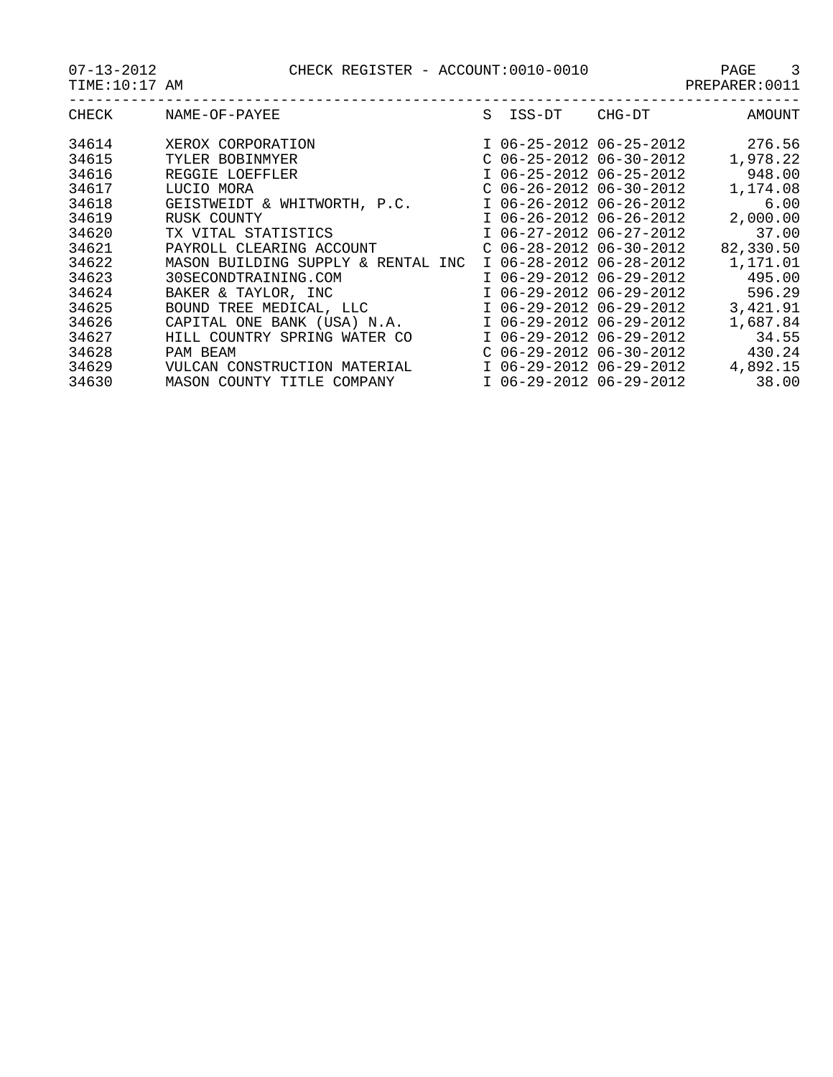| CHECK | NAME-OF-PAYEE                         | S | ISS-DT                    | CHG-DT | AMOUNT    |
|-------|---------------------------------------|---|---------------------------|--------|-----------|
| 34614 | XEROX CORPORATION                     |   | I 06-25-2012 06-25-2012   |        | 276.56    |
| 34615 | TYLER BOBINMYER                       |   | $C$ 06-25-2012 06-30-2012 |        | 1,978.22  |
| 34616 | REGGIE LOEFFLER                       |   | I 06-25-2012 06-25-2012   |        | 948.00    |
| 34617 | LUCIO MORA                            |   | $C$ 06-26-2012 06-30-2012 |        | 1,174.08  |
| 34618 | WHITWORTH, P.C.<br>GEISTWEIDT &       |   | I 06-26-2012 06-26-2012   |        | 6.00      |
| 34619 | RUSK COUNTY                           |   | I 06-26-2012 06-26-2012   |        | 2,000.00  |
| 34620 | TX VITAL STATISTICS                   |   | I 06-27-2012 06-27-2012   |        | 37.00     |
| 34621 | PAYROLL CLEARING ACCOUNT              |   | $C$ 06-28-2012 06-30-2012 |        | 82,330.50 |
| 34622 | MASON BUILDING SUPPLY & RENTAL<br>INC |   | I 06-28-2012 06-28-2012   |        | 1,171.01  |
| 34623 | 30SECONDTRAINING.COM                  |   | I 06-29-2012 06-29-2012   |        | 495.00    |
| 34624 | BAKER & TAYLOR, INC                   |   | I 06-29-2012 06-29-2012   |        | 596.29    |
| 34625 | BOUND TREE MEDICAL, LLC               |   | I 06-29-2012 06-29-2012   |        | 3,421.91  |
| 34626 | CAPITAL ONE BANK (USA) N.A.           |   | I 06-29-2012 06-29-2012   |        | 1,687.84  |
| 34627 | COUNTRY SPRING<br>WATER CO<br>HTT.T.  |   | I 06-29-2012 06-29-2012   |        | 34.55     |
| 34628 | PAM BEAM                              |   | $C$ 06-29-2012 06-30-2012 |        | 430.24    |
| 34629 | VULCAN CONSTRUCTION<br>MATERIAI,      |   | I 06-29-2012 06-29-2012   |        | 4,892.15  |
| 34630 | MASON COUNTY TITLE<br>COMPANY         |   | I 06-29-2012 06-29-2012   |        | 38.00     |